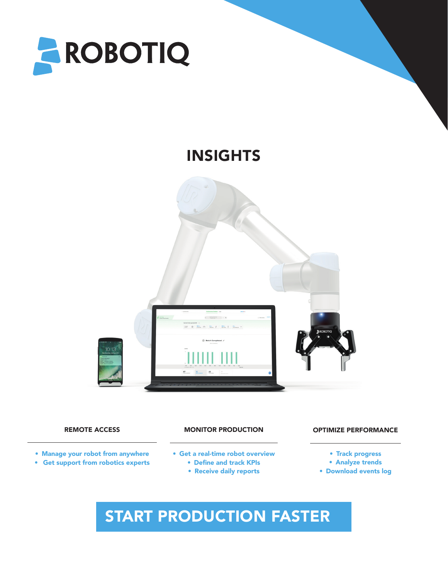

## INSIGHTS



- Manage your robot from anywhere
- Get support from robotics experts

### REMOTE ACCESS **ACCESS CONSIDER IN A MONITOR PRODUCTION CONSIDER ACCESS** OPTIMIZE PERFORMANCE MONITOR PRODUCTION

- Get a real-time robot overview
	- Define and track KPIs
	- Receive daily reports

- Track progress
- Analyze trends
- Download events log

# START PRODUCTION FASTER